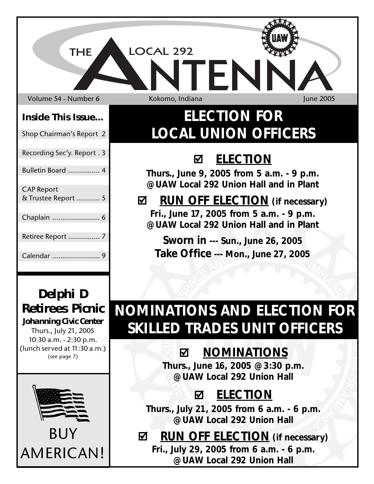Volume 54 - Number 6 Kokomo, Indiana June 2005

**THE** 

LOCAL 292

## **Inside This Issue...**

Shop Chairman's Report 2

Recording Sec'y. Report . 3

## Bulletin Board ................ 4

# CAP Report & Trustee Report ............ 5 Chaplain ........................ 6 Retiree Report ................ 7 Calendar ........................ 9

# **ELECTION FOR LOCAL UNION OFFICERS**

EN

# ; **ELECTION**

**Thurs., June 9, 2005 from 5 a.m. - 9 p.m. @ UAW Local 292 Union Hall and in Plant**

## ; **RUN OFF ELECTION (if necessary) Fri., June 17, 2005 from 5 a.m. - 9 p.m. @ UAW Local 292 Union Hall and in Plant**

**Sworn in --- Sun., June 26, 2005 Take Office --- Mon., June 27, 2005**

# **NOMINATIONS AND ELECTION FOR SKILLED TRADES UNIT OFFICERS**

# ; **NOMINATIONS**

**Thurs., June 16, 2005 @ 3:30 p.m. @ UAW Local 292 Union Hall**

# ; **ELECTION**

**Thurs., July 21, 2005 from 6 a.m. - 6 p.m. @ UAW Local 292 Union Hall**

# ; **RUN OFF ELECTION (if necessary)**

**Fri., July 29, 2005 from 6 a.m. - 6 p.m. @ UAW Local 292 Union Hall**

# *Delphi D Retirees Picnic*

*Johanning Civic Center* Thurs., July 21, 2005 10:30 a.m. - 2:30 p.m. (lunch served at 11:30 a.m.) (see page 7)

BUY

AMERICAN!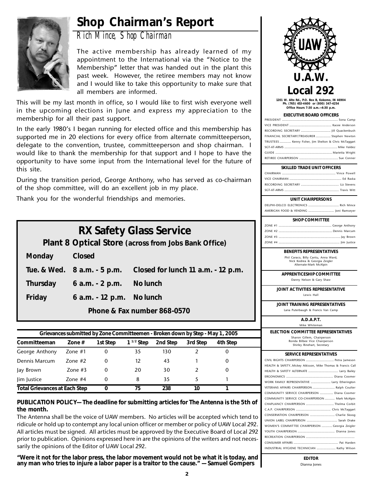# **Shop Chairman's Report**



*Rich Mince, Shop Chairman*

The active membership has already learned of my appointment to the International via the "Notice to the Membership" letter that was handed out in the plant this past week. However, the retiree members may not know and I would like to take this opportunity to make sure that all members are informed.

This will be my last month in office, so I would like to first wish everyone well in the upcoming elections in June and express my appreciation to the membership for all their past support.

In the early 1980's I began running for elected office and this membership has supported me in 20 elections for every office from alternate committeeperson, delegate to the convention, trustee, committeeperson and shop chairman. I would like to thank the membership for that support and I hope to have the opportunity to have some input from the International level for the future of this site.

During the transition period, George Anthony, who has served as co-chairman of the shop committee, will do an excellent job in my place.

Thank you for the wonderful friendships and memories.

| <b>RX Safety Glass Service</b>                       |                             |                                    |  |  |  |  |  |  |  |
|------------------------------------------------------|-----------------------------|------------------------------------|--|--|--|--|--|--|--|
| Plant 8 Optical Store (across from Jobs Bank Office) |                             |                                    |  |  |  |  |  |  |  |
| Monday                                               | Closed                      |                                    |  |  |  |  |  |  |  |
|                                                      | Tue. & Wed. 8 a.m. - 5 p.m. | Closed for lunch 11 a.m. - 12 p.m. |  |  |  |  |  |  |  |
| <b>Thursday</b>                                      | 6 a.m. - 2 p.m.             | No lunch                           |  |  |  |  |  |  |  |
| Friday<br>6 a.m. - 12 p.m. No lunch                  |                             |                                    |  |  |  |  |  |  |  |
| Phone & Fax number 868-0570                          |                             |                                    |  |  |  |  |  |  |  |

| Grievances submitted by Zone Committeemen - Broken down by Step - May 1, 2005 |               |          |                |          |          |          |  |  |  |  |  |
|-------------------------------------------------------------------------------|---------------|----------|----------------|----------|----------|----------|--|--|--|--|--|
| Committeeman                                                                  | Zone $#$      | 1st Step | $1^{1/2}$ Step | 2nd Step | 3rd Step | 4th Step |  |  |  |  |  |
| George Anthony                                                                | Zone $#1$     | 0        | 35             | 130      |          | O        |  |  |  |  |  |
| Dennis Marcum                                                                 | $7$ one # $2$ | 0        | 12             | 43       |          | 0        |  |  |  |  |  |
| Jay Brown                                                                     | Zone $#3$     | 0        | 20             | 30       |          | 0        |  |  |  |  |  |
| lim lustice                                                                   | Zone $#4$     | 0        | 8              | 35       |          |          |  |  |  |  |  |
| <b>Total Grievances at Each Step</b><br>238<br>75<br>10                       |               |          |                |          |          |          |  |  |  |  |  |

**PUBLICATION POLICY— The deadline for submitting articles for The Antenna is the 5th of the month.**

The Antenna shall be the voice of UAW members. No articles will be accepted which tend to ridicule or hold up to contempt any local union officer or member or policy of UAW Local 292. All articles must be signed. All articles must be approved by the Executive Board of Local 292 prior to publication. Opinions expressed here in are the opinions of the writers and not necessarily the opinions of the Editor of UAW Local 292.

**"Were it not for the labor press, the labor movement would not be what it is today, and any man who tries to injure a labor paper is a traitor to the cause." — Samuel Gompers**



**1201 W. Alto Rd., P.O. Box B, Kokomo, IN 46904 Ph. (765) 453-4600 or (800) 347-4254 Office Hours 7:30 a.m.—4:30 p.m.**

### **EXECUTIVE BOARD OFFICERS**

| FINANCIAL SECRETARY/TREASURER  Stephen Newton         |  |
|-------------------------------------------------------|--|
| TRUSTEES  Kenny Fisher, Jim Shelton & Chris McTaggart |  |
|                                                       |  |
|                                                       |  |
|                                                       |  |
|                                                       |  |

### **SKILLED TRADE UNIT OFFICERS**

## **UNIT CHAIRPERSONS**

DELPHI-DELCO ELECTRONICS ..................................... Rich Mince AMERICAN FOOD & VENDING ............................... Joni Ramseyer

### **SHOP COMMITTEE**

## **BENEFITS REPRESENTATIVES**

Phil Caraco, Billy Cantu, Anna Ward, Nick Kodrea & Georgia Zeigler Alternate-Mark McAlpin

**APPRENTICESHIP COMMITTEE** Danny Nelson & Gary Shaw

**JOINT ACTIVITIES REPRESENTATIVE** Lewis Hall

**JOINT TRAINING REPRESENTATIVES** Lana Puterbaugh & Francis Van Camp

**A.D.A.P.T.**

Mike Whiteman

**ELECTION COMMITTEE REPRESENTATIVES**

Sharon Gillem, Chairperson Ronda Bilbee Vice Chairperson Shirley Rinehart, Secretary

## **SERVICE REPRESENTATIVES**

**EDITOR** Dianna Jones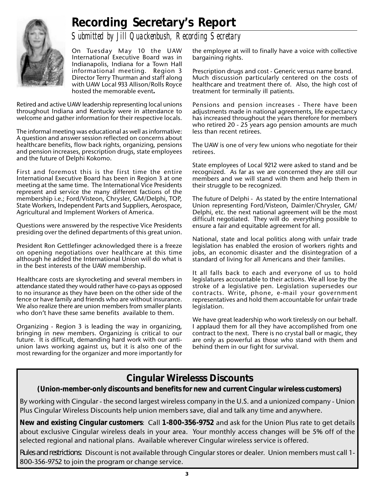# **Recording Secretary's Report**



*Submitted by Jill Quackenbush, Recording Secretary*

On Tuesday May 10 the UAW International Executive Board was in Indianapolis, Indiana for a Town Hall informational meeting. Region 3 Director Terry Thurman and staff along with UAW Local 933 Allison/Rolls Royce hosted the memorable event**.**

Retired and active UAW leadership representing local unions throughout Indiana and Kentucky were in attendance to welcome and gather information for their respective locals.

The informal meeting was educational as well as informative: A question and answer session reflected on concerns about healthcare benefits, flow back rights, organizing, pensions and pension increases, prescription drugs, state employees and the future of Delphi Kokomo.

First and foremost this is the first time the entire International Executive Board has been in Region 3 at one meeting at the same time. The International Vice Presidents represent and service the many different factions of the membership i.e.; Ford/Visteon, Chrysler, GM/Delphi, TOP, State Workers, Independent Parts and Suppliers, Aerospace, Agricultural and Implement Workers of America.

Questions were answered by the respective Vice Presidents presiding over the defined departments of this great union.

President Ron Gettlefinger acknowledged there is a freeze on opening negotiations over healthcare at this time although he added the International Union will do what is in the best interests of the UAW membership.

Healthcare costs are skyrocketing and several members in attendance stated they would rather have co-pays as opposed to no insurance as they have been on the other side of the fence or have family and friends who are without insurance. We also realize there are union members from smaller plants who don't have these same benefits available to them.

Organizing - Region 3 is leading the way in organizing, bringing in new members. Organizing is critical to our future. It is difficult, demanding hard work with our antiunion laws working against us, but it is also one of the most rewarding for the organizer and more importantly for

the employee at will to finally have a voice with collective bargaining rights.

Prescription drugs and cost - Generic versus name brand. Much discussion particularly centered on the costs of healthcare and treatment there of. Also, the high cost of treatment for terminally ill patients.

Pensions and pension increases - There have been adjustments made in national agreements, life expectancy has increased throughout the years therefore for members who retired 20 - 25 years ago pension amounts are much less than recent retirees.

The UAW is one of very few unions who negotiate for their retirees.

State employees of Local 9212 were asked to stand and be recognized. As far as we are concerned they are still our members and we will stand with them and help them in their struggle to be recognized.

The future of Delphi - As stated by the entire International Union representing Ford/Visteon, Daimler/Chrysler, GM/ Delphi, etc. the next national agreement will be the most difficult negotiated. They will do everything possible to ensure a fair and equitable agreement for all.

National, state and local politics along with unfair trade legislation has enabled the erosion of workers rights and jobs, an economic disaster and the disintegration of a standard of living for all Americans and their families.

It all falls back to each and everyone of us to hold legislatures accountable to their actions. We all lose by the stroke of a legislative pen. Legislation supersedes our contracts. Write, phone, e-mail your government representatives and hold them accountable for unfair trade legislation.

We have great leadership who work tirelessly on our behalf. I applaud them for all they have accomplished from one contract to the next. There is no crystal ball or magic, they are only as powerful as those who stand with them and behind them in our fight for survival.

## **Cingular Wirelesss Discounts**

## **(Union-member-only discounts and benefits for new and current Cingular wireless customers)**

By working with Cingular - the second largest wireless company in the U.S. and a unionized company - Union Plus Cingular Wireless Discounts help union members save, dial and talk any time and anywhere.

**New and existing Cingular customers**: Call **1-800-356-9752** and ask for the Union Plus rate to get details about exclusive Cingular wireless deals in your area. Your monthly access changes will be 5% off of the selected regional and national plans. Available wherever Cingular wireless service is offered.

*Rules and restrictions:* Discount is not available through Cingular stores or dealer. Union members must call 1- 800-356-9752 to join the program or change service.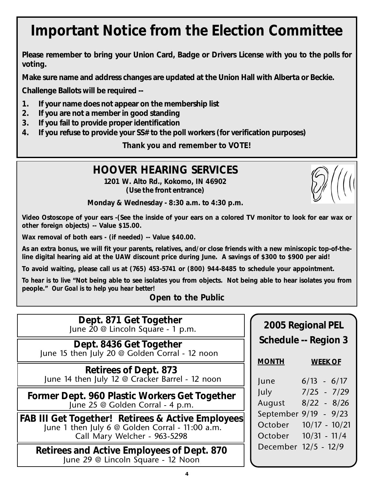# **Important Notice from the Election Committee**

**Please remember to bring your Union Card, Badge or Drivers License with you to the polls for voting.**

**Make sure name and address changes are updated at the Union Hall with Alberta or Beckie.**

**Challenge Ballots will be required --**

- **1. If your name does not appear on the membership list**
- **2. If you are not a member in good standing**
- **3. If you fail to provide proper identification**
- **4. If you refuse to provide your SS# to the poll workers (for verification purposes)**

**Thank you and remember to VOTE!**

## **HOOVER HEARING SERVICES**

**1201 W. Alto Rd., Kokomo, IN 46902 (Use the front entrance)**

**Monday & Wednesday - 8:30 a.m. to 4:30 p.m.**

**Video Ostoscope of your ears -(See the inside of your ears on a colored TV monitor to look for ear wax or other foreign objects) -- Value \$15.00.**

**Wax removal of both ears - (if needed) -- Value \$40.00.**

**As an extra bonus, we will fit your parents, relatives, and/or close friends with a new miniscopic top-of-theline digital hearing aid at the UAW discount price during June. A savings of \$300 to \$900 per aid!**

**To avoid waiting, please call us at (765) 453-5741 or (800) 944-8485 to schedule your appointment.**

*To hear is to live* **"Not being able to see isolates you from objects. Not being able to hear isolates you from people."** *Our Goal is to help you hear better!*

**Open to the Public**

**Dept. 871 Get Together** June 20 @ Lincoln Square - 1 p.m. **2005 Regional PEL**

**Dept. 8436 Get Together** June 15 then July 20 @ Golden Corral - 12 noon

**Retirees of Dept. 873** June 14 then July 12 @ Cracker Barrel - 12 noon

**Former Dept. 960 Plastic Workers Get Together** June 25 @ Golden Corral - 4 p.m.

**FAB III Get Together! Retirees & Active Employees** June 1 then July 6 @ Golden Corral - 11:00 a.m. Call Mary Welcher - 963-5298

**Retirees and Active Employees of Dept. 870** June 29 @ Lincoln Square - 12 Noon

# **Schedule -- Region 3 MONTH WEEK OF**  $Juno$   $6/12$   $6/17$

| 1411    | VI IJ VI II           |
|---------|-----------------------|
| July    | $7/25 - 7/29$         |
| August  | $8/22 - 8/26$         |
|         | September 9/19 - 9/23 |
| October | $10/17 - 10/21$       |
| October | $10/31 - 11/4$        |
|         | December 12/5 - 12/9  |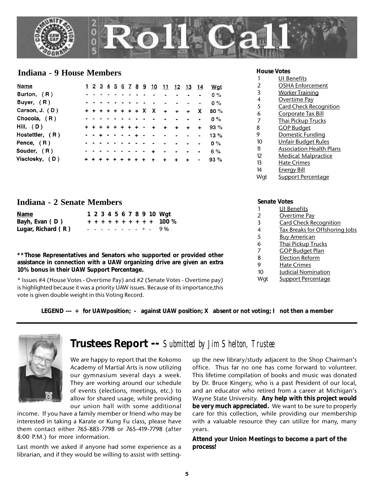

## **Indiana - 9 House Members House Votes**

| Name             |  |  |                  |  |           | 1 2 3 4 5 6 7 8 9 10 11 12 13 14 |                      |        |             |                | Wat     |
|------------------|--|--|------------------|--|-----------|----------------------------------|----------------------|--------|-------------|----------------|---------|
| Burton, $(R)$    |  |  |                  |  |           |                                  |                      |        |             |                | $0\%$   |
| Buyer, (R)       |  |  |                  |  |           |                                  |                      |        |             |                | $0\%$   |
| Carson, $J. (D)$ |  |  |                  |  |           | + + + + + + + + X X + +          |                      |        | $+$         | X.             | 80%     |
| Chocola, $(R)$   |  |  |                  |  |           |                                  |                      |        |             | $\bullet$      | $0\%$   |
| Hill, $(D)$      |  |  | + + + + + + + +  |  |           | $+$                              | $\ddot{\phantom{1}}$ | $\div$ | $\ddotmark$ | $\ddot{+}$     | 93%     |
| Hostettler, (R)  |  |  | . . <b>. .</b> . |  |           | $\sim$ $\sim$ $\sim$ $\sim$      |                      |        |             | $\bullet$      | $13 \%$ |
| Pence, $(R)$     |  |  |                  |  |           |                                  |                      |        |             | $\blacksquare$ | $0\%$   |
| Souder, $(R)$    |  |  |                  |  |           | $+$                              |                      |        |             | $\bullet$      | 6%      |
| Visclosky, (D)   |  |  |                  |  | $+ + + +$ |                                  | $\ddot{}$            |        | $+$         | $\sim$         | 93%     |

|     | <b>UI Benefits</b>              |
|-----|---------------------------------|
| 2   | <b>OSHA Enforcement</b>         |
| 3   | <b>Worker Training</b>          |
| 4   | <u>Overtime Pay</u>             |
| 5   | <b>Card Check Recognition</b>   |
| 6   | <u>Corporate Tax Bill</u>       |
| 7   | <b>Thai Pickup Trucks</b>       |
| 8   | <u>GOP Budget</u>               |
| 9   | Domestic Funding                |
| 10  | Unfair Budget Rules             |
| 11  | <b>Association Health Plans</b> |
| 12  | <b>Medical Malpractice</b>      |
| 13  | Hate Crimes                     |
| 14  | <u>Energy Bill</u>              |
| Wat | <b>Support Percentage</b>       |

## **Indiana - 2 Senate Members**

| <b>Name</b>          |  |  |  |  |  | 1 2 3 4 5 6 7 8 9 10 Wgt  |
|----------------------|--|--|--|--|--|---------------------------|
| Bayh, Evan (D)       |  |  |  |  |  | + + + + + + + + + + 100 % |
| Lugar, Richard $(R)$ |  |  |  |  |  | $- - - - - - - + - 9\%$   |

**\*\*Those Representatives and Senators who supported or provided other assistance in connection with a UAW organizing drive are given an extra 10% bonus in their UAW Support Percentage.**

\* Issues #4 (House Votes - Overtime Pay) and #2 (Senate Votes - Overtime pay) is highlighted because it was a priority UAW issues. Because of its importance,this vote is given double weight in this Voting Record.

## **Senate Votes**

|     | <b>UI Benefits</b>             |
|-----|--------------------------------|
| 2   | <b>Overtime Pay</b>            |
| 3   | <b>Card Check Recognition</b>  |
| 4   | Tax Breaks for Offshoring Jobs |
| 5   | <b>Buy American</b>            |
| 6   | <b>Thai Pickup Trucks</b>      |
| 7   | <b>GOP Budget Plan</b>         |
| 8   | <b>Election Reform</b>         |
| 9   | <b>Hate Crimes</b>             |
| 10  | <b>Judicial Nomination</b>     |
| Wat | <b>Support Percentage</b>      |

**LEGEND --- + for UAWposition; - against UAW position; X absent or not voting; I not then a member**



## **Trustees Report --** *Submitted by Jim Shelton, Trustee*

We are happy to report that the Kokomo Academy of Martial Arts is now utilizing our gymnasium several days a week. They are working around our schedule of events (elections, meetings, etc.) to allow for shared usage, while providing our union hall with some additional

income. If you have a family member or friend who may be interested in taking a Karate or Kung Fu class, please have them contact either 765-883-7798 or 765-419-7798 (after 8:00 P.M.) for more information.

Last month we asked if anyone had some experience as a librarian, and if they would be willing to assist with settingup the new library/study adjacent to the Shop Chairman's office. Thus far no one has come forward to volunteer. This lifetime compilation of books and music was donated by Dr. Bruce Kingery, who is a past President of our local, and an educator who retired from a career at Michigan's Wayne State University. **Any help with this project would be very much appreciated.** We want to be sure to properly care for this collection, while providing our membership with a valuable resource they can utilize for many, many years.

**Attend your Union Meetings to become a part of the process!**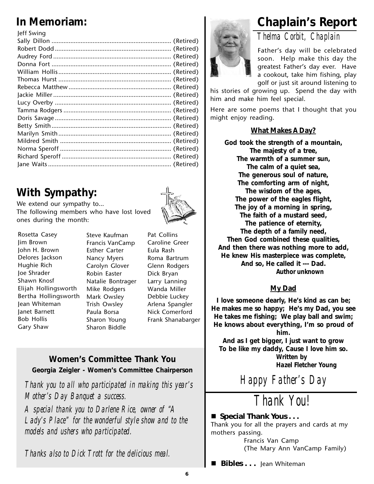| leff Swing |  |
|------------|--|
|            |  |
|            |  |
|            |  |
|            |  |
|            |  |
|            |  |
|            |  |
|            |  |
|            |  |
|            |  |
|            |  |
|            |  |
|            |  |
|            |  |
|            |  |
|            |  |
|            |  |
|            |  |

# **With Sympathy:**

We extend our sympathy to… The following members who have lost loved ones during the month:

Rosetta Casey Jim Brown John H. Brown Delores Jackson Hughie Rich Joe Shrader Shawn Knosf Elijah Hollingsworth Bertha Hollingsworth Jean Whiteman Janet Barnett Bob Hollis Gary Shaw

Steve Kaufman Francis VanCamp Esther Carter Nancy Myers Carolyn Glover Robin Easter Natalie Bontrager Mike Rodgers Mark Owsley Trish Owsley Paula Borsa Sharon Young Sharon Biddle



Pat Collins Caroline Greer Eula Rash Roma Bartrum Glenn Rodgers Dick Bryan Larry Lanning Wanda Miller Debbie Luckey Arlena Spangler Nick Comerford Frank Shanabarger

## **Women's Committee Thank You Georgia Zeigler - Women's Committee Chairperson**

*Thank you to all who participated in making this year's Mother's Day Banquet a success.*

*A special thank you to Darlene Rice, owner of "A Lady's Place" for the wonderful style show and to the models and ushers who participated.*

*Thanks also to Dick Trott for the delicious meal.*

# **In Memoriam: Chaplain's Report**



## *Thelma Corbit, Chaplain*

Father's day will be celebrated soon. Help make this day the greatest Father's day ever. Have a cookout, take him fishing, play golf or just sit around listening to

his stories of growing up. Spend the day with him and make him feel special.

Here are some poems that I thought that you might enjoy reading.

## **What Makes A Day?**

**God took the strength of a mountain, The majesty of a tree, The warmth of a summer sun, The calm of a quiet sea, The generous soul of nature, The comforting arm of night, The wisdom of the ages, The power of the eagles flight, The joy of a morning in spring, The faith of a mustard seed, The patience of eternity, The depth of a family need, Then God combined these qualities, And then there was nothing more to add, He knew His masterpiece was complete, And so, He called it --- Dad.** *Author unknown*

## **My Dad**

**I love someone dearly, He's kind as can be; He makes me so happy; He's my Dad, you see He takes me fishing; We play ball and swim; He knows about everything, I'm so proud of**

**him.**

**And as I get bigger, I just want to grow To be like my daddy, Cause I love him so.** *Written by Hazel Fletcher Young*

*Happy Father's Day*

*Thank You!*

## ■ Special Thank Yous . . .

Thank you for all the prayers and cards at my mothers passing.

Francis Van Camp (The Mary Ann VanCamp Family)

 **Bibles . . .** Jean Whiteman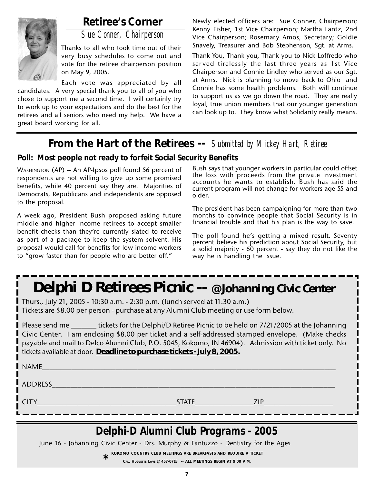

## **Retiree's Corner**

*Sue Conner, Chairperson*

Thanks to all who took time out of their very busy schedules to come out and vote for the retiree chairperson position on May 9, 2005.

Each vote was appreciated by all candidates. A very special thank you to all of you who chose to support me a second time. I will certainly try to work up to your expectations and do the best for the retirees and all seniors who need my help. We have a great board working for all.

Newly elected officers are: Sue Conner, Chairperson; Kenny Fisher, 1st Vice Chairperson; Martha Lantz, 2nd Vice Chairperson; Rosemary Amos, Secretary; Goldie Snavely, Treasurer and Bob Stephenson, Sgt. at Arms.

Thank You, Thank you, Thank you to Nick Loffredo who served tirelessly the last three years as 1st Vice Chairperson and Connie Lindley who served as our Sgt. at Arms. Nick is planning to move back to Ohio and Connie has some health problems. Both will continue to support us as we go down the road. They are really loyal, true union members that our younger generation can look up to. They know what Solidarity really means.

## **From the Hart of the Retirees --** *Submitted by Mickey Hart, Retiree*

## **Poll: Most people not ready to forfeit Social Security Benefits**

WASHINGTON (AP) -- An AP-Ipsos poll found 56 percent of respondents are not willing to give up some promised benefits, while 40 percent say they are. Majorities of Democrats, Republicans and independents are opposed to the proposal.

A week ago, President Bush proposed asking future middle and higher income retirees to accept smaller benefit checks than they're currently slated to receive as part of a package to keep the system solvent. His proposal would call for benefits for low income workers to "grow faster than for people who are better off."

Bush says that younger workers in particular could offset the loss with proceeds from the private investment accounts he wants to establish. Bush has said the current program will not change for workers age 55 and older.

The president has been campaigning for more than two months to convince people that Social Security is in financial trouble and that his plan is the way to save.

The poll found he's getting a mixed result. Seventy percent believe his prediction about Social Security, but a solid majority - 60 percent - say they do not like the way he is handling the issue.

# *Delphi D Retirees Picnic -- @ Johanning Civic Center*

Thurs., July 21, 2005 - 10:30 a.m. - 2:30 p.m. (lunch served at 11:30 a.m.) Tickets are \$8.00 per person - purchase at any Alumni Club meeting or use form below.

Please send me \_\_\_\_\_\_\_ tickets for the Delphi/D Retiree Picnic to be held on 7/21/2005 at the Johanning Civic Center. I am enclosing \$8.00 per ticket and a self-addressed stamped envelope. (Make checks payable and mail to Delco Alumni Club, P.O. 5045, Kokomo, IN 46904). Admission with ticket only. No tickets available at door. **Deadline to purchase tickets - July 8, 2005.**

| NAME        |              |            |
|-------------|--------------|------------|
| ADDRESS     |              |            |
| <b>CITY</b> | <b>STATE</b> | <b>ZIP</b> |

# *Delphi-D Alumni Club Programs - 2005*

June 16 - Johanning Civic Center - Drs. Murphy & Fantuzzo - Dentistry for the Ages

**KOKOMO COUNTRY CLUB MEETINGS ARE BREAKFASTS AND REQUIRE A TICKET \***

**CALL HUGUETTE LOVE @ 457-0718 -- ALL MEETINGS BEGIN AT 9:00 A.M.**